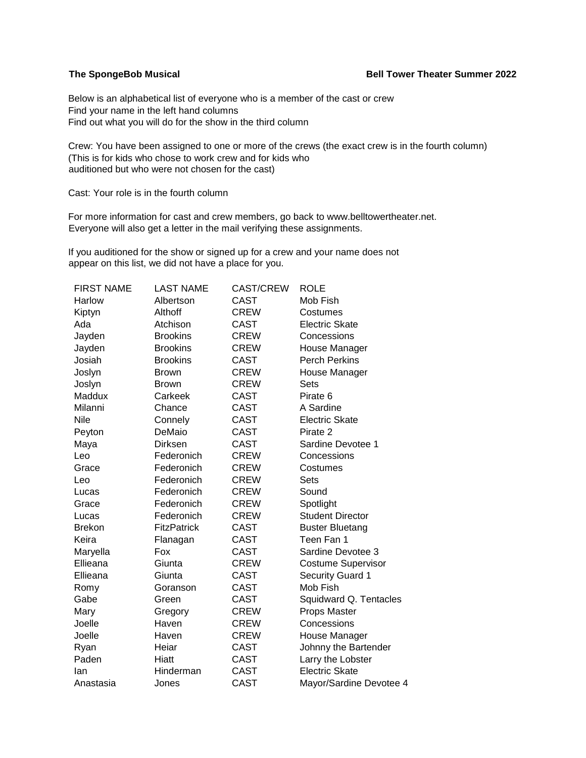## **The SpongeBob Musical Community Community Community Bell Tower Theater Summer 2022**

Below is an alphabetical list of everyone who is a member of the cast or crew Find your name in the left hand columns Find out what you will do for the show in the third column

Crew: You have been assigned to one or more of the crews (the exact crew is in the fourth column) (This is for kids who chose to work crew and for kids who auditioned but who were not chosen for the cast)

Cast: Your role is in the fourth column

For more information for cast and crew members, go back to www.belltowertheater.net. Everyone will also get a letter in the mail verifying these assignments.

If you auditioned for the show or signed up for a crew and your name does not appear on this list, we did not have a place for you.

| <b>FIRST NAME</b> | <b>LAST NAME</b>   | <b>CAST/CREW</b> | <b>ROLE</b>               |
|-------------------|--------------------|------------------|---------------------------|
| Harlow            | Albertson          | CAST             | Mob Fish                  |
| Kiptyn            | Althoff            | <b>CREW</b>      | Costumes                  |
| Ada               | Atchison           | <b>CAST</b>      | <b>Electric Skate</b>     |
| Jayden            | <b>Brookins</b>    | <b>CREW</b>      | Concessions               |
| Jayden            | <b>Brookins</b>    | <b>CREW</b>      | House Manager             |
| Josiah            | <b>Brookins</b>    | <b>CAST</b>      | <b>Perch Perkins</b>      |
| Joslyn            | <b>Brown</b>       | <b>CREW</b>      | House Manager             |
| Joslyn            | <b>Brown</b>       | <b>CREW</b>      | Sets                      |
| Maddux            | Carkeek            | <b>CAST</b>      | Pirate 6                  |
| Milanni           | Chance             | CAST             | A Sardine                 |
| Nile              | Connely            | <b>CAST</b>      | <b>Electric Skate</b>     |
| Peyton            | DeMaio             | <b>CAST</b>      | Pirate 2                  |
| Maya              | <b>Dirksen</b>     | <b>CAST</b>      | Sardine Devotee 1         |
| Leo               | Federonich         | <b>CREW</b>      | Concessions               |
| Grace             | Federonich         | <b>CREW</b>      | Costumes                  |
| Leo               | Federonich         | <b>CREW</b>      | <b>Sets</b>               |
| Lucas             | Federonich         | <b>CREW</b>      | Sound                     |
| Grace             | Federonich         | <b>CREW</b>      | Spotlight                 |
| Lucas             | Federonich         | <b>CREW</b>      | <b>Student Director</b>   |
| <b>Brekon</b>     | <b>FitzPatrick</b> | <b>CAST</b>      | <b>Buster Bluetang</b>    |
| Keira             | Flanagan           | <b>CAST</b>      | Teen Fan 1                |
| Maryella          | Fox                | CAST             | Sardine Devotee 3         |
| Ellieana          | Giunta             | <b>CREW</b>      | <b>Costume Supervisor</b> |
| Ellieana          | Giunta             | <b>CAST</b>      | <b>Security Guard 1</b>   |
| Romy              | Goranson           | <b>CAST</b>      | Mob Fish                  |
| Gabe              | Green              | <b>CAST</b>      | Squidward Q. Tentacles    |
| Mary              | Gregory            | <b>CREW</b>      | Props Master              |
| Joelle            | Haven              | <b>CREW</b>      | Concessions               |
| Joelle            | Haven              | <b>CREW</b>      | House Manager             |
| Ryan              | Heiar              | <b>CAST</b>      | Johnny the Bartender      |
| Paden             | Hiatt              | <b>CAST</b>      | Larry the Lobster         |
| lan               | Hinderman          | CAST             | <b>Electric Skate</b>     |
| Anastasia         | Jones              | <b>CAST</b>      | Mayor/Sardine Devotee 4   |